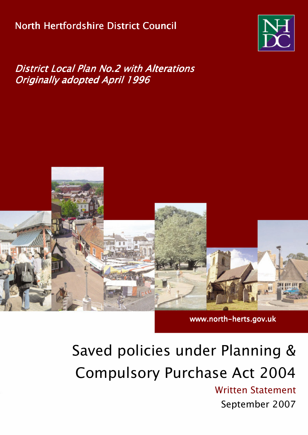# North Hertfordshire District Council



# **District Local Plan No.2 with Alterations Originally adopted April 1996**



# www.north-herts.gov.uk

# Saved policies under Planning & **Compulsory Purchase Act 2004**

**Written Statement** September 2007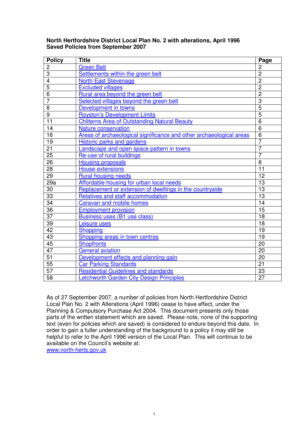| <b>Policy</b>   | <b>Title</b>                                                        | Page            |
|-----------------|---------------------------------------------------------------------|-----------------|
| $\overline{2}$  | <b>Green Belt</b>                                                   | $\overline{2}$  |
| 3               | Settlements within the green belt                                   | $\overline{2}$  |
| $\overline{4}$  | <b>North East Stevenage</b>                                         | $\overline{2}$  |
| $\overline{5}$  | <b>Excluded villages</b>                                            | $\overline{2}$  |
| $\overline{6}$  | Rural area beyond the green belt                                    | $\overline{2}$  |
| $\overline{7}$  | Selected villages beyond the green belt                             | $\overline{3}$  |
| 8               | Development in towns                                                | $\overline{5}$  |
| 9               | <b>Royston's Development Limits</b>                                 | $\overline{5}$  |
| $\overline{11}$ | <b>Chilterns Area of Outstanding Natural Beauty</b>                 | $\overline{6}$  |
| 14              | <b>Nature conservation</b>                                          | $6\phantom{1}6$ |
| 16              | Areas of archaeological significance and other archaeological areas | $\overline{6}$  |
| 19              | <b>Historic parks and gardens</b>                                   | $\overline{7}$  |
| 21              | Landscape and open space pattern in towns                           | $\overline{7}$  |
| 25              | Re-use of rural buildings                                           | $\overline{7}$  |
| 26              | <b>Housing proposals</b>                                            | $\overline{8}$  |
| 28              | <b>House extensions</b>                                             | 11              |
| 29              | <b>Rural housing needs</b>                                          | 12              |
| 29a             | Affordable housing for urban local needs                            | 13              |
| 30              | Replacement or extension of dwellings in the countryside            | 13              |
| 33              | Relatives and staff accommodation                                   | 13              |
| $\overline{34}$ | <b>Caravan and mobile homes</b>                                     | 14              |
| 36              | <b>Employment provision</b>                                         | $\overline{15}$ |
| $\overline{37}$ | Business uses (B1 use class)                                        | 18              |
| 39              | Leisure uses                                                        | 18              |
| 42              | <b>Shopping</b>                                                     | 19              |
| 43              | Shopping areas in town centres                                      | 19              |
| 45              | <b>Shopfronts</b>                                                   | 20              |
| 47              | <b>General aviation</b>                                             | 20              |
| 51              | Development effects and planning gain                               | 20              |
| 55              | <b>Car Parking Standards</b>                                        | 21              |
| 57              | <b>Residential Guidelines and standards</b>                         | 23              |
| 58              | Letchworth Garden City Design Principles                            | 27              |

#### **North Hertfordshire District Local Plan No. 2 with alterations, April 1996 Saved Policies from September 2007**

As of 27 September 2007, a number of policies from North Hertfordshire District Local Plan No. 2 with Alterations (April 1996) cease to have effect, under the Planning & Compulsory Purchase Act 2004. This document presents only those parts of the written statement which are saved. Please note, none of the supporting text (even for policies which are saved) is considered to endure beyond this date. In order to gain a fuller understanding of the background to a policy it may still be helpful to refer to the April 1996 version of the Local Plan. This will continue to be available on the Council's website at:

www.north-herts.gov.uk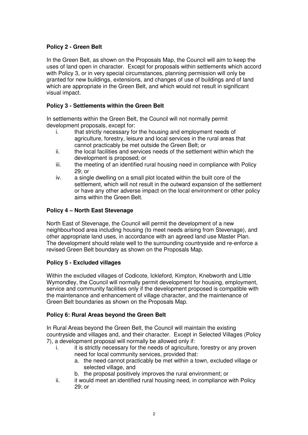# **Policy 2 - Green Belt**

In the Green Belt, as shown on the Proposals Map, the Council will aim to keep the uses of land open in character. Except for proposals within settlements which accord with Policy 3, or in very special circumstances, planning permission will only be granted for new buildings, extensions, and changes of use of buildings and of land which are appropriate in the Green Belt, and which would not result in significant visual impact.

# **Policy 3 - Settlements within the Green Belt**

In settlements within the Green Belt, the Council will not normally permit development proposals, except for:

- i. that strictly necessary for the housing and employment needs of agriculture, forestry, leisure and local services in the rural areas that cannot practicably be met outside the Green Belt; or
- ii. the local facilities and services needs of the settlement within which the development is proposed; or
- iii. the meeting of an identified rural housing need in compliance with Policy 29; or
- iv. a single dwelling on a small plot located within the built core of the settlement, which will not result in the outward expansion of the settlement or have any other adverse impact on the local environment or other policy aims within the Green Belt.

# **Policy 4 – North East Stevenage**

North East of Stevenage, the Council will permit the development of a new neighbourhood area including housing (to meet needs arising from Stevenage), and other appropriate land uses, in accordance with an agreed land use Master Plan. The development should relate well to the surrounding countryside and re-enforce a revised Green Belt boundary as shown on the Proposals Map.

# **Policy 5 - Excluded villages**

Within the excluded villages of Codicote, Ickleford, Kimpton, Knebworth and Little Wymondley, the Council will normally permit development for housing, employment, service and community facilities only if the development proposed is compatible with the maintenance and enhancement of village character, and the maintenance of Green Belt boundaries as shown on the Proposals Map.

#### **Policy 6: Rural Areas beyond the Green Belt**

In Rural Areas beyond the Green Belt, the Council will maintain the existing countryside and villages and, and their character. Except in Selected Villages (Policy 7), a development proposal will normally be allowed only if:

- i. it is strictly necessary for the needs of agriculture, forestry or any proven need for local community services, provided that:
	- a. the need cannot practicably be met within a town, excluded village or selected village, and
	- b. the proposal positively improves the rural environment; or
- ii. it would meet an identified rural housing need, in compliance with Policy 29; or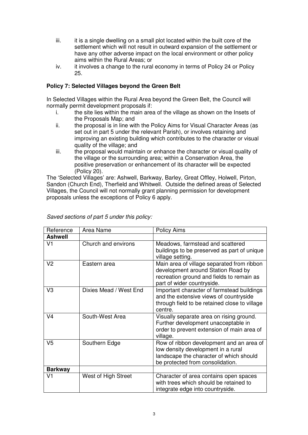- iii. it is a single dwelling on a small plot located within the built core of the settlement which will not result in outward expansion of the settlement or have any other adverse impact on the local environment or other policy aims within the Rural Areas; or
- iv. it involves a change to the rural economy in terms of Policy 24 or Policy 25.

# **Policy 7: Selected Villages beyond the Green Belt**

In Selected Villages within the Rural Area beyond the Green Belt, the Council will normally permit development proposals if:

- i. the site lies within the main area of the village as shown on the Insets of the Proposals Map; and
- ii. the proposal is in line with the Policy Aims for Visual Character Areas (as set out in part 5 under the relevant Parish), or involves retaining and improving an existing building which contributes to the character or visual quality of the village; and
- iii. the proposal would maintain or enhance the character or visual quality of the village or the surrounding area; within a Conservation Area, the positive preservation or enhancement of its character will be expected (Policy 20).

The 'Selected Villages' are: Ashwell, Barkway, Barley, Great Offley, Holwell, Pirton, Sandon (Church End), Therfield and Whitwell. Outside the defined areas of Selected Villages, the Council will not normally grant planning permission for development proposals unless the exceptions of Policy 6 apply.

| Reference      | Area Name              | <b>Policy Aims</b>                                                                                                                                            |
|----------------|------------------------|---------------------------------------------------------------------------------------------------------------------------------------------------------------|
| <b>Ashwell</b> |                        |                                                                                                                                                               |
| V <sub>1</sub> | Church and environs    | Meadows, farmstead and scattered<br>buildings to be preserved as part of unique<br>village setting.                                                           |
| V <sub>2</sub> | Eastern area           | Main area of village separated from ribbon<br>development around Station Road by<br>recreation ground and fields to remain as<br>part of wider countryside.   |
| V <sub>3</sub> | Dixies Mead / West End | Important character of farmstead buildings<br>and the extensive views of countryside<br>through field to be retained close to village<br>centre.              |
| V <sub>4</sub> | South-West Area        | Visually separate area on rising ground.<br>Further development unacceptable in<br>order to prevent extension of main area of<br>village.                     |
| V <sub>5</sub> | Southern Edge          | Row of ribbon development and an area of<br>low density development in a rural<br>landscape the character of which should<br>be protected from consolidation. |
| <b>Barkway</b> |                        |                                                                                                                                                               |
| V <sub>1</sub> | West of High Street    | Character of area contains open spaces<br>with trees which should be retained to<br>integrate edge into countryside.                                          |

*Saved sections of part 5 under this policy:*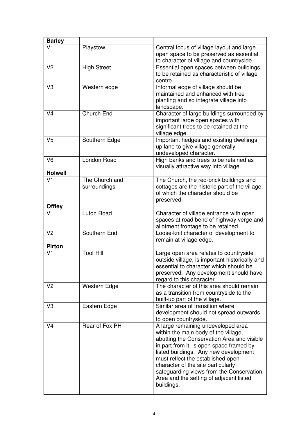| <b>Barley</b>  |                                |                                                                                                                                                                                                                                                                                                                                                                                               |
|----------------|--------------------------------|-----------------------------------------------------------------------------------------------------------------------------------------------------------------------------------------------------------------------------------------------------------------------------------------------------------------------------------------------------------------------------------------------|
| V <sub>1</sub> | Playstow                       | Central focus of village layout and large<br>open space to be preserved as essential<br>to character of village and countryside.                                                                                                                                                                                                                                                              |
| V <sub>2</sub> | <b>High Street</b>             | Essential open spaces between buildings<br>to be retained as characteristic of village<br>centre.                                                                                                                                                                                                                                                                                             |
| V <sub>3</sub> | Western edge                   | Informal edge of village should be<br>maintained and enhanced with tree<br>planting and so integrate village into<br>landscape.                                                                                                                                                                                                                                                               |
| V <sub>4</sub> | Church End                     | Character of large buildings surrounded by<br>important large open spaces with<br>significant trees to be retained at the<br>village edge.                                                                                                                                                                                                                                                    |
| V <sub>5</sub> | Southern Edge                  | Important hedges and existing dwellings<br>up lane to give village generally<br>undeveloped character.                                                                                                                                                                                                                                                                                        |
| V <sub>6</sub> | London Road                    | High banks and trees to be retained as<br>visually attractive way into village.                                                                                                                                                                                                                                                                                                               |
| <b>Holwell</b> |                                |                                                                                                                                                                                                                                                                                                                                                                                               |
| V <sub>1</sub> | The Church and<br>surroundings | The Church, the red-brick buildings and<br>cottages are the historic part of the village,<br>of which the character should be<br>preserved.                                                                                                                                                                                                                                                   |
| <b>Offley</b>  |                                |                                                                                                                                                                                                                                                                                                                                                                                               |
| V <sub>1</sub> | Luton Road                     | Character of village entrance with open<br>spaces at road bend of highway verge and<br>allotment frontage to be retained.                                                                                                                                                                                                                                                                     |
| V <sub>2</sub> | Southern End                   | Loose-knit character of development to<br>remain at village edge.                                                                                                                                                                                                                                                                                                                             |
| <b>Pirton</b>  |                                |                                                                                                                                                                                                                                                                                                                                                                                               |
| V <sub>1</sub> | <b>Toot Hill</b>               | Large open area relates to countryside<br>outside village, is important historically and<br>essential to character which should be<br>preserved. Any development should have<br>regard to this character.                                                                                                                                                                                     |
| V <sub>2</sub> | Western Edge                   | The character of this area should remain<br>as a transition from countryside to the<br>built-up part of the village.                                                                                                                                                                                                                                                                          |
| V <sub>3</sub> | Eastern Edge                   | Similar area of transition where<br>development should not spread outwards<br>to open countryside.                                                                                                                                                                                                                                                                                            |
| V <sub>4</sub> | Rear of Fox PH                 | A large remaining undeveloped area<br>within the main body of the village,<br>abutting the Conservation Area and visible<br>in part from it, is open space framed by<br>listed buildings. Any new development<br>must reflect the established open<br>character of the site particularly<br>safeguarding views from the Conservation<br>Area and the setting of adjacent listed<br>buildings. |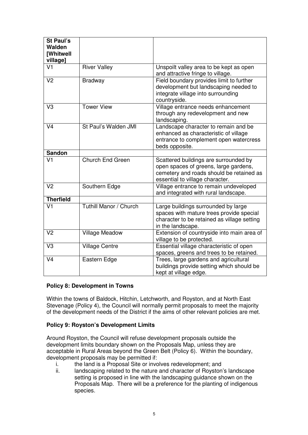| St Paul's<br>Walden<br><b>[Whitwell</b><br>village] |                        |                                                                                                                                                               |
|-----------------------------------------------------|------------------------|---------------------------------------------------------------------------------------------------------------------------------------------------------------|
| V <sub>1</sub>                                      | <b>River Valley</b>    | Unspoilt valley area to be kept as open<br>and attractive fringe to village.                                                                                  |
| V <sub>2</sub>                                      | <b>Bradway</b>         | Field boundary provides limit to further<br>development but landscaping needed to<br>integrate village into surrounding<br>countryside.                       |
| V <sub>3</sub>                                      | <b>Tower View</b>      | Village entrance needs enhancement<br>through any redevelopment and new<br>landscaping.                                                                       |
| V <sub>4</sub>                                      | St Paul's Walden JMI   | Landscape character to remain and be<br>enhanced as characteristic of village<br>entrance to complement open watercress<br>beds opposite.                     |
| <b>Sandon</b>                                       |                        |                                                                                                                                                               |
| V <sub>1</sub>                                      | Church End Green       | Scattered buildings are surrounded by<br>open spaces of greens, large gardens,<br>cemetery and roads should be retained as<br>essential to village character. |
| V <sub>2</sub>                                      | Southern Edge          | Village entrance to remain undeveloped<br>and integrated with rural landscape.                                                                                |
| <b>Therfield</b>                                    |                        |                                                                                                                                                               |
| V <sub>1</sub>                                      | Tuthill Manor / Church | Large buildings surrounded by large<br>spaces with mature trees provide special<br>character to be retained as village setting<br>in the landscape.           |
| V <sub>2</sub>                                      | <b>Village Meadow</b>  | Extension of countryside into main area of<br>village to be protected.                                                                                        |
| V <sub>3</sub>                                      | <b>Village Centre</b>  | Essential village characteristic of open<br>spaces, greens and trees to be retained.                                                                          |
| V <sub>4</sub>                                      | Eastern Edge           | Trees, large gardens and agricultural<br>buildings provide setting which should be<br>kept at village edge.                                                   |

#### **Policy 8: Development in Towns**

Within the towns of Baldock, Hitchin, Letchworth, and Royston, and at North East Stevenage (Policy 4), the Council will normally permit proposals to meet the majority of the development needs of the District if the aims of other relevant policies are met.

#### **Policy 9: Royston's Development Limits**

Around Royston, the Council will refuse development proposals outside the development limits boundary shown on the Proposals Map, unless they are acceptable in Rural Areas beyond the Green Belt (Policy 6). Within the boundary, development proposals may be permitted if:

- i. the land is a Proposal Site or involves redevelopment; and
- ii. landscaping related to the nature and character of Royston's landscape setting is proposed in line with the landscaping guidance shown on the Proposals Map. There will be a preference for the planting of indigenous species.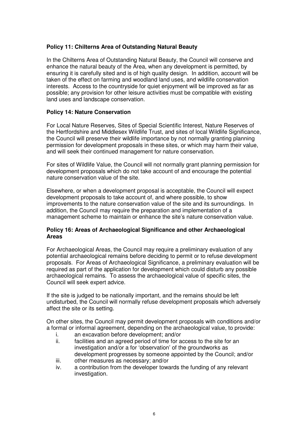#### **Policy 11: Chilterns Area of Outstanding Natural Beauty**

In the Chilterns Area of Outstanding Natural Beauty, the Council will conserve and enhance the natural beauty of the Area, when any development is permitted, by ensuring it is carefully sited and is of high quality design. In addition, account will be taken of the effect on farming and woodland land uses, and wildlife conservation interests. Access to the countryside for quiet enjoyment will be improved as far as possible; any provision for other leisure activities must be compatible with existing land uses and landscape conservation.

#### **Policy 14: Nature Conservation**

For Local Nature Reserves, Sites of Special Scientific Interest, Nature Reserves of the Hertfordshire and Middlesex Wildlife Trust, and sites of local Wildlife Significance, the Council will preserve their wildlife importance by not normally granting planning permission for development proposals in these sites, or which may harm their value, and will seek their continued management for nature conservation.

For sites of Wildlife Value, the Council will not normally grant planning permission for development proposals which do not take account of and encourage the potential nature conservation value of the site.

Elsewhere, or when a development proposal is acceptable, the Council will expect development proposals to take account of, and where possible, to show improvements to the nature conservation value of the site and its surroundings. In addition, the Council may require the preparation and implementation of a management scheme to maintain or enhance the site's nature conservation value.

#### **Policy 16: Areas of Archaeological Significance and other Archaeological Areas**

For Archaeological Areas, the Council may require a preliminary evaluation of any potential archaeological remains before deciding to permit or to refuse development proposals. For Areas of Archaeological Significance, a preliminary evaluation will be required as part of the application for development which could disturb any possible archaeological remains. To assess the archaeological value of specific sites, the Council will seek expert advice.

If the site is judged to be nationally important, and the remains should be left undisturbed, the Council will normally refuse development proposals which adversely affect the site or its setting.

On other sites, the Council may permit development proposals with conditions and/or a formal or informal agreement, depending on the archaeological value, to provide:

- i. an excavation before development; and/or
- ii. facilities and an agreed period of time for access to the site for an investigation and/or a for 'observation' of the groundworks as development progresses by someone appointed by the Council; and/or
- iii. other measures as necessary; and/or
- iv. a contribution from the developer towards the funding of any relevant investigation.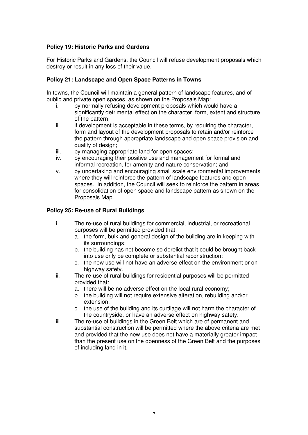#### **Policy 19: Historic Parks and Gardens**

For Historic Parks and Gardens, the Council will refuse development proposals which destroy or result in any loss of their value.

#### **Policy 21: Landscape and Open Space Patterns in Towns**

In towns, the Council will maintain a general pattern of landscape features, and of public and private open spaces, as shown on the Proposals Map:

- i. by normally refusing development proposals which would have a significantly detrimental effect on the character, form, extent and structure of the pattern;
- ii. if development is acceptable in these terms, by requiring the character, form and layout of the development proposals to retain and/or reinforce the pattern through appropriate landscape and open space provision and quality of design;
- iii. by managing appropriate land for open spaces;
- iv. by encouraging their positive use and management for formal and informal recreation, for amenity and nature conservation; and
- v. by undertaking and encouraging small scale environmental improvements where they will reinforce the pattern of landscape features and open spaces. In addition, the Council will seek to reinforce the pattern in areas for consolidation of open space and landscape pattern as shown on the Proposals Map.

#### **Policy 25: Re-use of Rural Buildings**

- i. The re-use of rural buildings for commercial, industrial, or recreational purposes will be permitted provided that:
	- a. the form, bulk and general design of the building are in keeping with its surroundings;
	- b. the building has not become so derelict that it could be brought back into use only be complete or substantial reconstruction;
	- c. the new use will not have an adverse effect on the environment or on highway safety.
- ii. The re-use of rural buildings for residential purposes will be permitted provided that:
	- a. there will be no adverse effect on the local rural economy;
	- b. the building will not require extensive alteration, rebuilding and/or extension;
	- c. the use of the building and its curtilage will not harm the character of the countryside, or have an adverse effect on highway safety.
- iii. The re-use of buildings in the Green Belt which are of permanent and substantial construction will be permitted where the above criteria are met and provided that the new use does not have a materially greater impact than the present use on the openness of the Green Belt and the purposes of including land in it.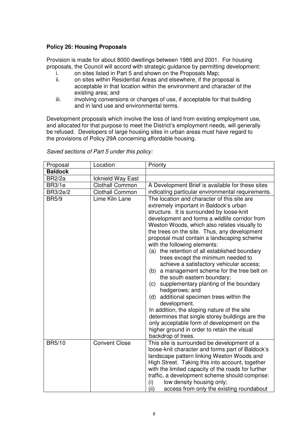#### **Policy 26: Housing Proposals**

Provision is made for about 8000 dwellings between 1986 and 2001. For housing proposals, the Council will accord with strategic guidance by permitting development:

- i. on sites listed in Part 5 and shown on the Proposals Map;
- ii. on sites within Residential Areas and elsewhere, if the proposal is acceptable in that location within the environment and character of the existing area; and
- iii. involving conversions or changes of use, if acceptable for that building and in land use and environmental terms.

Development proposals which involve the loss of land from existing employment use, and allocated for that purpose to meet the District's employment needs, will generally be refused. Developers of large housing sites in urban areas must have regard to the provisions of Policy 29A concerning affordable housing.

| Proposal        | Location               | Priority                                                                                                                                                                                                                                                                                                                                                                                                                                                                                                                                                                                                                                                                                                                                                                                                                                                                                                                                       |
|-----------------|------------------------|------------------------------------------------------------------------------------------------------------------------------------------------------------------------------------------------------------------------------------------------------------------------------------------------------------------------------------------------------------------------------------------------------------------------------------------------------------------------------------------------------------------------------------------------------------------------------------------------------------------------------------------------------------------------------------------------------------------------------------------------------------------------------------------------------------------------------------------------------------------------------------------------------------------------------------------------|
| <b>Baldock</b>  |                        |                                                                                                                                                                                                                                                                                                                                                                                                                                                                                                                                                                                                                                                                                                                                                                                                                                                                                                                                                |
| <b>BR2/2a</b>   | Icknield Way East      |                                                                                                                                                                                                                                                                                                                                                                                                                                                                                                                                                                                                                                                                                                                                                                                                                                                                                                                                                |
| <b>BR3/1e</b>   | <b>Clothall Common</b> | A Development Brief is available for these sites                                                                                                                                                                                                                                                                                                                                                                                                                                                                                                                                                                                                                                                                                                                                                                                                                                                                                               |
| <b>BR3/2e/2</b> | <b>Clothall Common</b> | indicating particular environmental requirements.                                                                                                                                                                                                                                                                                                                                                                                                                                                                                                                                                                                                                                                                                                                                                                                                                                                                                              |
| <b>BR5/9</b>    | Lime Kiln Lane         | The location and character of this site are<br>extremely important in Baldock's urban<br>structure. It is surrounded by loose-knit<br>development and forms a wildlife corridor from<br>Weston Woods, which also relates visually to<br>the trees on the site. Thus, any development<br>proposal must contain a landscaping scheme<br>with the following elements:<br>(a) the retention of all established boundary<br>trees except the minimum needed to<br>achieve a satisfactory vehicular access;<br>a management scheme for the tree belt on<br>(b)<br>the south eastern boundary;<br>supplementary planting of the boundary<br>(c)<br>hedgerows; and<br>additional specimen trees within the<br>(d)<br>development.<br>In addition, the sloping nature of the site<br>determines that single storey buildings are the<br>only acceptable form of development on the<br>higher ground in order to retain the visual<br>backdrop of trees. |
| <b>BR5/10</b>   | <b>Convent Close</b>   | This site is surrounded be development of a<br>loose-knit character and forms part of Baldock's<br>landscape pattern linking Weston Woods and<br>High Street. Taking this into account, together<br>with the limited capacity of the roads for further<br>traffic, a development scheme should comprise:<br>low density housing only;<br>(i)<br>(ii)<br>access from only the existing roundabout                                                                                                                                                                                                                                                                                                                                                                                                                                                                                                                                               |

*Saved sections of Part 5 under this policy:*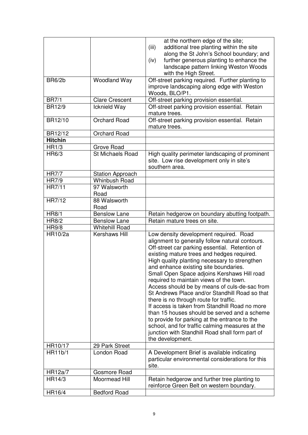|                |                         | at the northern edge of the site;<br>additional tree planting within the site<br>(iii)<br>along the St John's School boundary; and<br>further generous planting to enhance the<br>(iv)<br>landscape pattern linking Weston Woods<br>with the High Street.                                                                                                                                                                                                                                                                                                                                                                                                                                                                                                                                               |
|----------------|-------------------------|---------------------------------------------------------------------------------------------------------------------------------------------------------------------------------------------------------------------------------------------------------------------------------------------------------------------------------------------------------------------------------------------------------------------------------------------------------------------------------------------------------------------------------------------------------------------------------------------------------------------------------------------------------------------------------------------------------------------------------------------------------------------------------------------------------|
| <b>BR6/2b</b>  | <b>Woodland Way</b>     | Off-street parking required. Further planting to<br>improve landscaping along edge with Weston<br>Woods, BLO/P1.                                                                                                                                                                                                                                                                                                                                                                                                                                                                                                                                                                                                                                                                                        |
| <b>BR7/1</b>   | <b>Clare Crescent</b>   | Off-street parking provision essential.                                                                                                                                                                                                                                                                                                                                                                                                                                                                                                                                                                                                                                                                                                                                                                 |
| <b>BR12/9</b>  | Icknield Way            | Off-street parking provision essential. Retain<br>mature trees.                                                                                                                                                                                                                                                                                                                                                                                                                                                                                                                                                                                                                                                                                                                                         |
| BR12/10        | <b>Orchard Road</b>     | Off-street parking provision essential. Retain<br>mature trees.                                                                                                                                                                                                                                                                                                                                                                                                                                                                                                                                                                                                                                                                                                                                         |
| BR12/12        | <b>Orchard Road</b>     |                                                                                                                                                                                                                                                                                                                                                                                                                                                                                                                                                                                                                                                                                                                                                                                                         |
| <b>Hitchin</b> |                         |                                                                                                                                                                                                                                                                                                                                                                                                                                                                                                                                                                                                                                                                                                                                                                                                         |
| HR1/3          | Grove Road              |                                                                                                                                                                                                                                                                                                                                                                                                                                                                                                                                                                                                                                                                                                                                                                                                         |
| HR6/3          | <b>St Michaels Road</b> | High quality perimeter landscaping of prominent<br>site. Low rise development only in site's<br>southern area.                                                                                                                                                                                                                                                                                                                                                                                                                                                                                                                                                                                                                                                                                          |
| <b>HR7/7</b>   | <b>Station Approach</b> |                                                                                                                                                                                                                                                                                                                                                                                                                                                                                                                                                                                                                                                                                                                                                                                                         |
| <b>HR7/9</b>   | <b>Whinbush Road</b>    |                                                                                                                                                                                                                                                                                                                                                                                                                                                                                                                                                                                                                                                                                                                                                                                                         |
| HR7/11         | 97 Walsworth<br>Road    |                                                                                                                                                                                                                                                                                                                                                                                                                                                                                                                                                                                                                                                                                                                                                                                                         |
| HR7/12         | 88 Walsworth<br>Road    |                                                                                                                                                                                                                                                                                                                                                                                                                                                                                                                                                                                                                                                                                                                                                                                                         |
| <b>HR8/1</b>   | <b>Benslow Lane</b>     | Retain hedgerow on boundary abutting footpath.                                                                                                                                                                                                                                                                                                                                                                                                                                                                                                                                                                                                                                                                                                                                                          |
| <b>HR8/2</b>   | <b>Benslow Lane</b>     | Retain mature trees on site.                                                                                                                                                                                                                                                                                                                                                                                                                                                                                                                                                                                                                                                                                                                                                                            |
| <b>HR9/8</b>   | <b>Whitehill Road</b>   |                                                                                                                                                                                                                                                                                                                                                                                                                                                                                                                                                                                                                                                                                                                                                                                                         |
| HR10/2a        | Kershaws Hill           | Low density development required. Road<br>alignment to generally follow natural contours.<br>Off-street car parking essential. Retention of<br>existing mature trees and hedges required.<br>High quality planting necessary to strengthen<br>and enhance existing site boundaries.<br>Small Open Space adjoins Kershaws Hill road<br>required to maintain views of the town.<br>Access should be by means of culs-de-sac from<br>St Andrews Place and/or Standhill Road so that<br>there is no through route for traffic.<br>If access is taken from Standhill Road no more<br>than 15 houses should be served and a scheme<br>to provide for parking at the entrance to the<br>school, and for traffic calming measures at the<br>junction with Standhill Road shall form part of<br>the development. |
| HR10/17        | 29 Park Street          |                                                                                                                                                                                                                                                                                                                                                                                                                                                                                                                                                                                                                                                                                                                                                                                                         |
| HR11b/1        | London Road             | A Development Brief is available indicating<br>particular environmental considerations for this<br>site.                                                                                                                                                                                                                                                                                                                                                                                                                                                                                                                                                                                                                                                                                                |
| HR12a/7        | Gosmore Road            |                                                                                                                                                                                                                                                                                                                                                                                                                                                                                                                                                                                                                                                                                                                                                                                                         |
| HR14/3         | Moormead Hill           | Retain hedgerow and further tree planting to<br>reinforce Green Belt on western boundary.                                                                                                                                                                                                                                                                                                                                                                                                                                                                                                                                                                                                                                                                                                               |
| HR16/4         | <b>Bedford Road</b>     |                                                                                                                                                                                                                                                                                                                                                                                                                                                                                                                                                                                                                                                                                                                                                                                                         |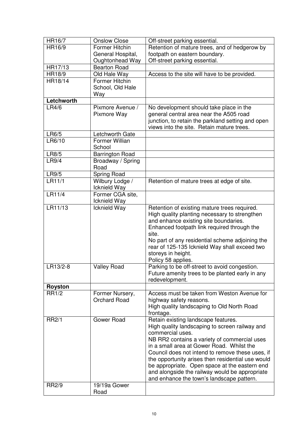| HR16/7         | <b>Onslow Close</b>    | Off-street parking essential.                     |
|----------------|------------------------|---------------------------------------------------|
| HR16/9         | Former Hitchin         | Retention of mature trees, and of hedgerow by     |
|                | General Hospital,      | footpath on eastern boundary.                     |
|                |                        |                                                   |
|                | Oughtonhead Way        | Off-street parking essential.                     |
| HR17/13        | <b>Bearton Road</b>    |                                                   |
| HR18/9         | Old Hale Way           | Access to the site will have to be provided.      |
| HR18/14        | Former Hitchin         |                                                   |
|                | School, Old Hale       |                                                   |
|                | Way                    |                                                   |
| Letchworth     |                        |                                                   |
| LR4/6          | Pixmore Avenue /       | No development should take place in the           |
|                | Pixmore Way            | general central area near the A505 road           |
|                |                        | junction, to retain the parkland setting and open |
|                |                        | views into the site. Retain mature trees.         |
| LR6/5          | Letchworth Gate        |                                                   |
| LR6/10         | Former Willian         |                                                   |
|                |                        |                                                   |
|                | School                 |                                                   |
| LR8/5          | <b>Barrington Road</b> |                                                   |
| LR9/4          | Broadway / Spring      |                                                   |
|                | Road                   |                                                   |
| LR9/5          | Spring Road            |                                                   |
| LR11/1         | Wilbury Lodge /        | Retention of mature trees at edge of site.        |
|                | Icknield Way           |                                                   |
| LR11/4         | Former CGA site,       |                                                   |
|                | Icknield Way           |                                                   |
| LR11/13        | Icknield Way           | Retention of existing mature trees required.      |
|                |                        | High quality planting necessary to strengthen     |
|                |                        | and enhance existing site boundaries.             |
|                |                        | Enhanced footpath link required through the       |
|                |                        | site.                                             |
|                |                        |                                                   |
|                |                        | No part of any residential scheme adjoining the   |
|                |                        | rear of 125-135 Icknield Way shall exceed two     |
|                |                        | storeys in height.                                |
|                |                        | Policy 58 applies.                                |
| LR13/2-8       | <b>Valley Road</b>     | Parking to be off-street to avoid congestion.     |
|                |                        | Future amenity trees to be planted early in any   |
|                |                        | redevelopment.                                    |
| <b>Royston</b> |                        |                                                   |
| <b>RR1/2</b>   | Former Nursery,        | Access must be taken from Weston Avenue for       |
|                | <b>Orchard Road</b>    | highway safety reasons.                           |
|                |                        | High quality landscaping to Old North Road        |
|                |                        | frontage.                                         |
| <b>RR2/1</b>   | Gower Road             | Retain existing landscape features.               |
|                |                        | High quality landscaping to screen railway and    |
|                |                        | commercial uses.                                  |
|                |                        | NB RR2 contains a variety of commercial uses      |
|                |                        | in a small area at Gower Road. Whilst the         |
|                |                        | Council does not intend to remove these uses, if  |
|                |                        |                                                   |
|                |                        | the opportunity arises then residential use would |
|                |                        | be appropriate. Open space at the eastern end     |
|                |                        | and alongside the railway would be appropriate    |
|                |                        | and enhance the town's landscape pattern.         |
| <b>RR2/9</b>   | 19/19a Gower           |                                                   |
|                | Road                   |                                                   |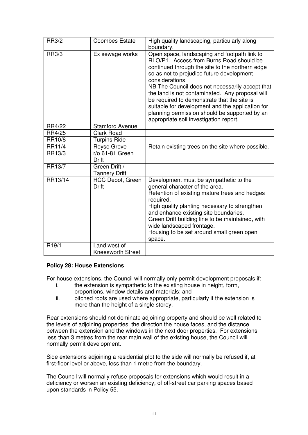| <b>RR3/2</b>       | <b>Coombes Estate</b>                    | High quality landscaping, particularly along<br>boundary.                                                                                                                                                                                                                                                                                                                                                                                                                                                       |
|--------------------|------------------------------------------|-----------------------------------------------------------------------------------------------------------------------------------------------------------------------------------------------------------------------------------------------------------------------------------------------------------------------------------------------------------------------------------------------------------------------------------------------------------------------------------------------------------------|
| <b>RR3/3</b>       | Ex sewage works                          | Open space, landscaping and footpath link to<br>RLO/P1. Access from Burns Road should be<br>continued through the site to the northern edge<br>so as not to prejudice future development<br>considerations.<br>NB The Council does not necessarily accept that<br>the land is not contaminated. Any proposal will<br>be required to demonstrate that the site is<br>suitable for development and the application for<br>planning permission should be supported by an<br>appropriate soil investigation report. |
| RR4/22             | <b>Stamford Avenue</b>                   |                                                                                                                                                                                                                                                                                                                                                                                                                                                                                                                 |
| RR4/25             | <b>Clark Road</b>                        |                                                                                                                                                                                                                                                                                                                                                                                                                                                                                                                 |
| RR10/8             | <b>Turpins Ride</b>                      |                                                                                                                                                                                                                                                                                                                                                                                                                                                                                                                 |
| RR11/4             | Royse Grove                              | Retain existing trees on the site where possible.                                                                                                                                                                                                                                                                                                                                                                                                                                                               |
| RR13/3             | r/o 61-81 Green<br><b>Drift</b>          |                                                                                                                                                                                                                                                                                                                                                                                                                                                                                                                 |
| RR13/7             | Green Drift /<br><b>Tannery Drift</b>    |                                                                                                                                                                                                                                                                                                                                                                                                                                                                                                                 |
| RR13/14            | <b>HCC Depot, Green</b><br><b>Drift</b>  | Development must be sympathetic to the<br>general character of the area.<br>Retention of existing mature trees and hedges<br>required.<br>High quality planting necessary to strengthen<br>and enhance existing site boundaries.<br>Green Drift building line to be maintained, with<br>wide landscaped frontage.<br>Housing to be set around small green open<br>space.                                                                                                                                        |
| R <sub>19</sub> /1 | Land west of<br><b>Kneesworth Street</b> |                                                                                                                                                                                                                                                                                                                                                                                                                                                                                                                 |

#### **Policy 28: House Extensions**

For house extensions, the Council will normally only permit development proposals if:

- i. the extension is sympathetic to the existing house in height, form, proportions, window details and materials; and
- ii. pitched roofs are used where appropriate, particularly if the extension is more than the height of a single storey.

Rear extensions should not dominate adjoining property and should be well related to the levels of adjoining properties, the direction the house faces, and the distance between the extension and the windows in the next door properties. For extensions less than 3 metres from the rear main wall of the existing house, the Council will normally permit development.

Side extensions adjoining a residential plot to the side will normally be refused if, at first-floor level or above, less than 1 metre from the boundary.

The Council will normally refuse proposals for extensions which would result in a deficiency or worsen an existing deficiency, of off-street car parking spaces based upon standards in Policy 55.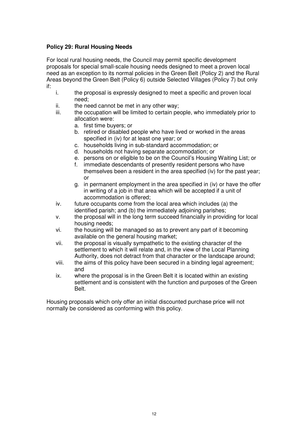# **Policy 29: Rural Housing Needs**

For local rural housing needs, the Council may permit specific development proposals for special small-scale housing needs designed to meet a proven local need as an exception to its normal policies in the Green Belt (Policy 2) and the Rural Areas beyond the Green Belt (Policy 6) outside Selected Villages (Policy 7) but only if:

- i. the proposal is expressly designed to meet a specific and proven local need;
- ii. the need cannot be met in any other way;
- iii. the occupation will be limited to certain people, who immediately prior to allocation were:
	- a. first time buyers; or
	- b. retired or disabled people who have lived or worked in the areas specified in (iv) for at least one year; or
	- c. households living in sub-standard accommodation; or
	- d. households not having separate accommodation; or
	- e. persons on or eligible to be on the Council's Housing Waiting List; or
	- f. immediate descendants of presently resident persons who have themselves been a resident in the area specified (iv) for the past year; or
	- g. in permanent employment in the area specified in (iv) or have the offer in writing of a job in that area which will be accepted if a unit of accommodation is offered;
- iv. future occupants come from the local area which includes (a) the identified parish; and (b) the immediately adjoining parishes;
- v. the proposal will in the long term succeed financially in providing for local housing needs;
- vi. the housing will be managed so as to prevent any part of it becoming available on the general housing market;
- vii. the proposal is visually sympathetic to the existing character of the settlement to which it will relate and, in the view of the Local Planning Authority, does not detract from that character or the landscape around;
- viii. the aims of this policy have been secured in a binding legal agreement; and
- ix. where the proposal is in the Green Belt it is located within an existing settlement and is consistent with the function and purposes of the Green Belt.

Housing proposals which only offer an initial discounted purchase price will not normally be considered as conforming with this policy.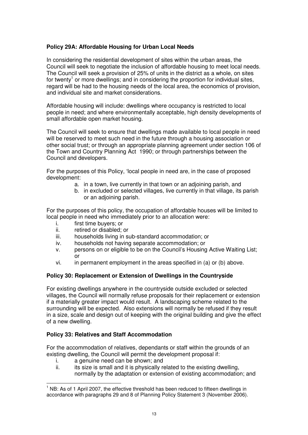## **Policy 29A: Affordable Housing for Urban Local Needs**

In considering the residential development of sites within the urban areas, the Council will seek to negotiate the inclusion of affordable housing to meet local needs. The Council will seek a provision of 25% of units in the district as a whole, on sites for twenty<sup>1</sup> or more dwellings; and in considering the proportion for individual sites, regard will be had to the housing needs of the local area, the economics of provision, and individual site and market considerations.

Affordable housing will include: dwellings where occupancy is restricted to local people in need; and where environmentally acceptable, high density developments of small affordable open market housing.

The Council will seek to ensure that dwellings made available to local people in need will be reserved to meet such need in the future through a housing association or other social trust; or through an appropriate planning agreement under section 106 of the Town and Country Planning Act 1990; or through partnerships between the Council and developers.

For the purposes of this Policy, 'local people in need are, in the case of proposed development:

- a. in a town, live currently in that town or an adjoining parish, and
- b. in excluded or selected villages, live currently in that village, its parish or an adjoining parish.

For the purposes of this policy, the occupation of affordable houses will be limited to local people in need who immediately prior to an allocation were:

- i. first time buyers; or
- ii. retired or disabled; or
- iii. households living in sub-standard accommodation; or
- iv. households not having separate accommodation; or
- v. persons on or eligible to be on the Council's Housing Active Waiting List; or
- vi. in permanent employment in the areas specified in (a) or (b) above.

#### **Policy 30: Replacement or Extension of Dwellings in the Countryside**

For existing dwellings anywhere in the countryside outside excluded or selected villages, the Council will normally refuse proposals for their replacement or extension if a materially greater impact would result. A landscaping scheme related to the surrounding will be expected. Also extensions will normally be refused if they result in a size, scale and design out of keeping with the original building and give the effect of a new dwelling.

#### **Policy 33: Relatives and Staff Accommodation**

For the accommodation of relatives, dependants or staff within the grounds of an existing dwelling, the Council will permit the development proposal if:

- i. a genuine need can be shown; and
- ii. its size is small and it is physically related to the existing dwelling, normally by the adaptation or extension of existing accommodation; and

 $<sup>1</sup>$  NB: As of 1 April 2007, the effective threshold has been reduced to fifteen dwellings in</sup> accordance with paragraphs 29 and 8 of Planning Policy Statement 3 (November 2006).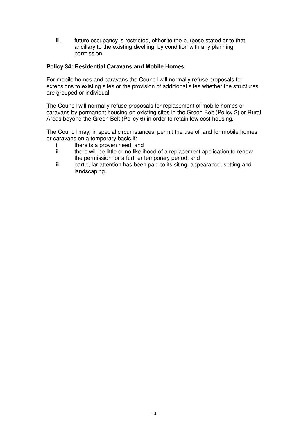iii. future occupancy is restricted, either to the purpose stated or to that ancillary to the existing dwelling, by condition with any planning permission.

#### **Policy 34: Residential Caravans and Mobile Homes**

For mobile homes and caravans the Council will normally refuse proposals for extensions to existing sites or the provision of additional sites whether the structures are grouped or individual.

The Council will normally refuse proposals for replacement of mobile homes or caravans by permanent housing on existing sites in the Green Belt (Policy 2) or Rural Areas beyond the Green Belt (Policy 6) in order to retain low cost housing.

The Council may, in special circumstances, permit the use of land for mobile homes or caravans on a temporary basis if:

- i. there is a proven need; and<br>ii. there will be little or no likelih
- there will be little or no likelihood of a replacement application to renew the permission for a further temporary period; and
- iii. particular attention has been paid to its siting, appearance, setting and landscaping.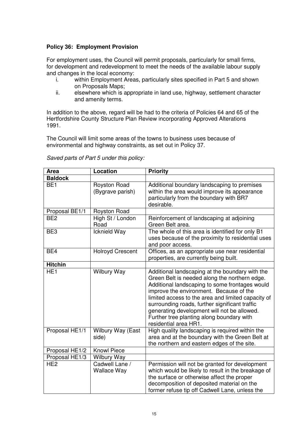# **Policy 36: Employment Provision**

For employment uses, the Council will permit proposals, particularly for small firms, for development and redevelopment to meet the needs of the available labour supply and changes in the local economy:

- i. within Employment Areas, particularly sites specified in Part 5 and shown on Proposals Maps;
- ii. elsewhere which is appropriate in land use, highway, settlement character and amenity terms.

In addition to the above, regard will be had to the criteria of Policies 64 and 65 of the Hertfordshire County Structure Plan Review incorporating Approved Alterations 1991.

The Council will limit some areas of the towns to business uses because of environmental and highway constraints, as set out in Policy 37.

| <b>Area</b>     | Location                             | <b>Priority</b>                                                                                                                                                                                                                                                                                                                                                                                                            |  |
|-----------------|--------------------------------------|----------------------------------------------------------------------------------------------------------------------------------------------------------------------------------------------------------------------------------------------------------------------------------------------------------------------------------------------------------------------------------------------------------------------------|--|
| <b>Baldock</b>  |                                      |                                                                                                                                                                                                                                                                                                                                                                                                                            |  |
| BE <sub>1</sub> | Royston Road<br>(Bygrave parish)     | Additional boundary landscaping to premises<br>within the area would improve its appearance<br>particularly from the boundary with BR7<br>desirable.                                                                                                                                                                                                                                                                       |  |
| Proposal BE1/1  | Royston Road                         |                                                                                                                                                                                                                                                                                                                                                                                                                            |  |
| BE <sub>2</sub> | High St / London<br>Road             | Reinforcement of landscaping at adjoining<br>Green Belt area.                                                                                                                                                                                                                                                                                                                                                              |  |
| BE3             | Icknield Way                         | The whole of this area is identified for only B1<br>uses because of the proximity to residential uses<br>and poor access.                                                                                                                                                                                                                                                                                                  |  |
| BE4             | <b>Holroyd Crescent</b>              | Offices, as an appropriate use near residential<br>properties, are currently being built.                                                                                                                                                                                                                                                                                                                                  |  |
| <b>Hitchin</b>  |                                      |                                                                                                                                                                                                                                                                                                                                                                                                                            |  |
| HE <sub>1</sub> | <b>Wilbury Way</b>                   | Additional landscaping at the boundary with the<br>Green Belt is needed along the northern edge.<br>Additional landscaping to some frontages would<br>improve the environment. Because of the<br>limited access to the area and limited capacity of<br>surrounding roads, further significant traffic<br>generating development will not be allowed.<br>Further tree planting along boundary with<br>residential area HR1. |  |
| Proposal HE1/1  | Wilbury Way (East<br>side)           | High quality landscaping is required within the<br>area and at the boundary with the Green Belt at<br>the northern and eastern edges of the site.                                                                                                                                                                                                                                                                          |  |
| Proposal HE1/2  | <b>Knowl Piece</b>                   |                                                                                                                                                                                                                                                                                                                                                                                                                            |  |
| Proposal HE1/3  | <b>Wilbury Way</b>                   |                                                                                                                                                                                                                                                                                                                                                                                                                            |  |
| HE <sub>2</sub> | Cadwell Lane /<br><b>Wallace Way</b> | Permission will not be granted for development<br>which would be likely to result in the breakage of<br>the surface or otherwise affect the proper<br>decomposition of deposited material on the<br>former refuse tip off Cadwell Lane, unless the                                                                                                                                                                         |  |

*Saved parts of Part 5 under this policy:*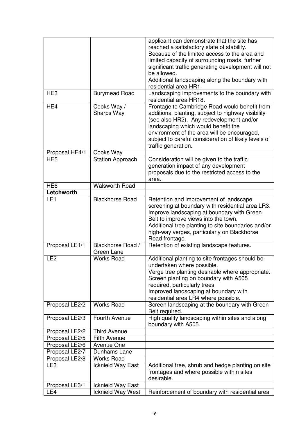|                               |                         | applicant can demonstrate that the site has                                                           |
|-------------------------------|-------------------------|-------------------------------------------------------------------------------------------------------|
|                               |                         | reached a satisfactory state of stability.<br>Because of the limited access to the area and           |
|                               |                         |                                                                                                       |
|                               |                         | limited capacity of surrounding roads, further<br>significant traffic generating development will not |
|                               |                         | be allowed.                                                                                           |
|                               |                         | Additional landscaping along the boundary with                                                        |
|                               |                         | residential area HR1.                                                                                 |
| HE <sub>3</sub>               | <b>Burymead Road</b>    | Landscaping improvements to the boundary with                                                         |
|                               |                         | residential area HR18.                                                                                |
| HE4                           | Cooks Way /             | Frontage to Cambridge Road would benefit from                                                         |
|                               | Sharps Way              | additional planting, subject to highway visibility                                                    |
|                               |                         | (see also HR2). Any redevelopment and/or                                                              |
|                               |                         | landscaping which would benefit the                                                                   |
|                               |                         | environment of the area will be encouraged,                                                           |
|                               |                         | subject to careful consideration of likely levels of                                                  |
|                               |                         | traffic generation.                                                                                   |
| Proposal HE4/1                | Cooks Way               |                                                                                                       |
| HE <sub>5</sub>               | <b>Station Approach</b> | Consideration will be given to the traffic                                                            |
|                               |                         | generation impact of any development                                                                  |
|                               |                         | proposals due to the restricted access to the                                                         |
|                               |                         | area.                                                                                                 |
| HE <sub>6</sub><br>Letchworth | <b>Walsworth Road</b>   |                                                                                                       |
| LE <sub>1</sub>               | <b>Blackhorse Road</b>  | Retention and improvement of landscape                                                                |
|                               |                         | screening at boundary with residential area LR3.                                                      |
|                               |                         | Improve landscaping at boundary with Green                                                            |
|                               |                         | Belt to improve views into the town.                                                                  |
|                               |                         | Additional tree planting to site boundaries and/or                                                    |
|                               |                         | high-way verges, particularly on Blackhorse                                                           |
|                               |                         | Road frontage.                                                                                        |
| Proposal LE1/1                | Blackhorse Road /       | Retention of existing landscape features.                                                             |
|                               | Green Lane              |                                                                                                       |
| LE <sub>2</sub>               | <b>Works Road</b>       | Additional planting to site frontages should be                                                       |
|                               |                         | undertaken where possible.                                                                            |
|                               |                         | Verge tree planting desirable where appropriate.                                                      |
|                               |                         | Screen planting on boundary with A505                                                                 |
|                               |                         | required, particularly trees.                                                                         |
|                               |                         | Improved landscaping at boundary with                                                                 |
|                               | <b>Works Road</b>       | residential area LR4 where possible.<br>Screen landscaping at the boundary with Green                 |
| Proposal LE2/2                |                         | Belt required.                                                                                        |
| Proposal LE2/3                | Fourth Avenue           | High quality landscaping within sites and along                                                       |
|                               |                         | boundary with A505.                                                                                   |
| Proposal LE2/2                | <b>Third Avenue</b>     |                                                                                                       |
| Proposal LE2/5                | <b>Fifth Avenue</b>     |                                                                                                       |
| Proposal LE2/6                | Avenue One              |                                                                                                       |
| Proposal LE2/7                | Dunhams Lane            |                                                                                                       |
| Proposal LE2/8                | <b>Works Road</b>       |                                                                                                       |
| LE3                           | Icknield Way East       | Additional tree, shrub and hedge planting on site                                                     |
|                               |                         | frontages and where possible within sites<br>desirable.                                               |
| Proposal LE3/1                | Icknield Way East       |                                                                                                       |
| LE4                           | Icknield Way West       | Reinforcement of boundary with residential area                                                       |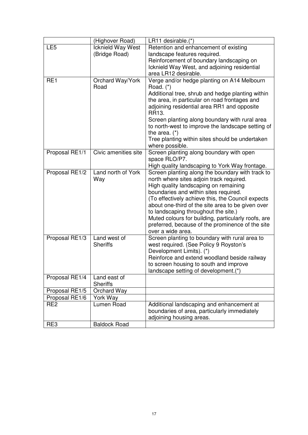|                 | (Highover Road)      | LR11 desirable.(*)                                  |
|-----------------|----------------------|-----------------------------------------------------|
| LE <sub>5</sub> | Icknield Way West    | Retention and enhancement of existing               |
|                 | (Bridge Road)        | landscape features required.                        |
|                 |                      | Reinforcement of boundary landscaping on            |
|                 |                      | Icknield Way West, and adjoining residential        |
|                 |                      | area LR12 desirable.                                |
| RE1             | Orchard Way/York     | Verge and/or hedge planting on A14 Melbourn         |
|                 | Road                 | Road. (*)                                           |
|                 |                      | Additional tree, shrub and hedge planting within    |
|                 |                      | the area, in particular on road frontages and       |
|                 |                      | adjoining residential area RR1 and opposite         |
|                 |                      | RR13.                                               |
|                 |                      | Screen planting along boundary with rural area      |
|                 |                      | to north-west to improve the landscape setting of   |
|                 |                      | the area. $(*)$                                     |
|                 |                      | Tree planting within sites should be undertaken     |
|                 |                      | where possible.                                     |
| Proposal RE1/1  | Civic amenities site | Screen planting along boundary with open            |
|                 |                      | space RLO/P7.                                       |
|                 |                      | High quality landscaping to York Way frontage.      |
| Proposal RE1/2  | Land north of York   | Screen planting along the boundary with track to    |
|                 | Way                  | north where sites adjoin track required.            |
|                 |                      | High quality landscaping on remaining               |
|                 |                      | boundaries and within sites required.               |
|                 |                      | (To effectively achieve this, the Council expects   |
|                 |                      | about one-third of the site area to be given over   |
|                 |                      | to landscaping throughout the site.)                |
|                 |                      | Muted colours for building, particularly roofs, are |
|                 |                      | preferred, because of the prominence of the site    |
|                 |                      | over a wide area.                                   |
| Proposal RE1/3  | Land west of         | Screen planting to boundary with rural area to      |
|                 | <b>Sheriffs</b>      | west required. (See Policy 9 Royston's              |
|                 |                      | Development Limits). (*)                            |
|                 |                      | Reinforce and extend woodland beside railway        |
|                 |                      | to screen housing to south and improve              |
|                 |                      | landscape setting of development.(*)                |
| Proposal RE1/4  | Land east of         |                                                     |
|                 | <b>Sheriffs</b>      |                                                     |
| Proposal RE1/5  | Orchard Way          |                                                     |
| Proposal RE1/6  | York Way             |                                                     |
| RE <sub>2</sub> | Lumen Road           | Additional landscaping and enhancement at           |
|                 |                      | boundaries of area, particularly immediately        |
|                 |                      | adjoining housing areas.                            |
| RE3             | <b>Baldock Road</b>  |                                                     |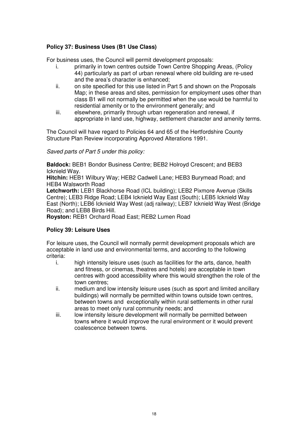# **Policy 37: Business Uses (B1 Use Class)**

For business uses, the Council will permit development proposals:

- i. primarily in town centres outside Town Centre Shopping Areas, (Policy 44) particularly as part of urban renewal where old building are re-used and the area's character is enhanced;
- ii. on site specified for this use listed in Part 5 and shown on the Proposals Map; in these areas and sites, permission for employment uses other than class B1 will not normally be permitted when the use would be harmful to residential amenity or to the environment generally; and
- iii. elsewhere, primarily through urban regeneration and renewal, if appropriate in land use, highway, settlement character and amenity terms.

The Council will have regard to Policies 64 and 65 of the Hertfordshire County Structure Plan Review incorporating Approved Alterations 1991.

*Saved parts of Part 5 under this policy:*

**Baldock:** BEB1 Bondor Business Centre; BEB2 Holroyd Crescent; and BEB3 Icknield Way.

**Hitchin:** HEB1 Wilbury Way; HEB2 Cadwell Lane; HEB3 Burymead Road; and HEB4 Walsworth Road

**Letchworth:** LEB1 Blackhorse Road (ICL building); LEB2 Pixmore Avenue (Skills Centre); LEB3 Ridge Road; LEB4 Icknield Way East (South); LEB5 Icknield Way East (North); LEB6 Icknield Way West (adj railway); LEB7 Icknield Way West (Bridge Road); and LEB8 Birds Hill.

**Royston:** REB1 Orchard Road East; REB2 Lumen Road

# **Policy 39: Leisure Uses**

For leisure uses, the Council will normally permit development proposals which are acceptable in land use and environmental terms, and according to the following criteria:

- i. high intensity leisure uses (such as facilities for the arts, dance, health and fitness, or cinemas, theatres and hotels) are acceptable in town centres with good accessibility where this would strengthen the role of the town centres;
- ii. medium and low intensity leisure uses (such as sport and limited ancillary buildings) will normally be permitted within towns outside town centres, between towns and exceptionally within rural settlements in other rural areas to meet only rural community needs; and
- iii. low intensity leisure development will normally be permitted between towns where it would improve the rural environment or it would prevent coalescence between towns.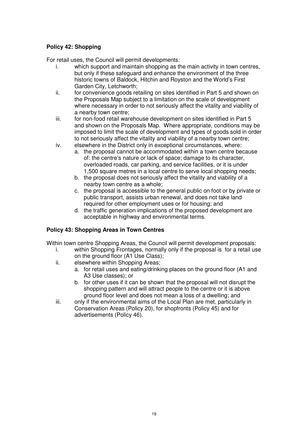# **Policy 42: Shopping**

For retail uses, the Council will permit developments:

- i. which support and maintain shopping as the main activity in town centres, but only if these safeguard and enhance the environment of the three historic towns of Baldock, Hitchin and Royston and the World's First Garden City, Letchworth;
- ii. for convenience goods retailing on sites identified in Part 5 and shown on the Proposals Map subject to a limitation on the scale of development where necessary in order to not seriously affect the vitality and viability of a nearby town centre;
- iii. for non-food retail warehouse development on sites identified in Part 5 and shown on the Proposals Map. Where appropriate, conditions may be imposed to limit the scale of development and types of goods sold in order to not seriously affect the vitality and viability of a nearby town centre;
- iv. elsewhere in the District only in exceptional circumstances, where:
	- a. the proposal cannot be accommodated within a town centre because of: the centre's nature or lack of space; damage to its character, overloaded roads, car parking, and service facilities, or it is under 1,500 square metres in a local centre to serve local shopping needs;
	- b. the proposal does not seriously affect the vitality and viability of a nearby town centre as a whole;
	- c. the proposal is accessible to the general public on foot or by private or public transport, assists urban renewal, and does not take land required for other employment uses or for housing; and
	- d. the traffic generation implications of the proposed development are acceptable in highway and environmental terms.

# **Policy 43: Shopping Areas in Town Centres**

Within town centre Shopping Areas, the Council will permit development proposals:

- i. within Shopping Frontages, normally only if the proposal is for a retail use on the ground floor (A1 Use Class);
- ii. elsewhere within Shopping Areas;
	- a. for retail uses and eating/drinking places on the ground floor (A1 and A3 Use classes); or
	- b. for other uses if it can be shown that the proposal will not disrupt the shopping pattern and will attract people to the centre or it is above ground floor level and does not mean a loss of a dwelling; and
- iii. only if the environmental aims of the Local Plan are met, particularly in Conservation Areas (Policy 20), for shopfronts (Policy 45) and for advertisements (Policy 46).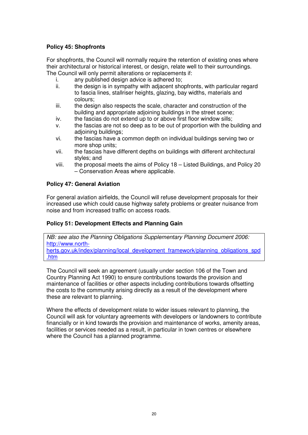## **Policy 45: Shopfronts**

For shopfronts, the Council will normally require the retention of existing ones where their architectural or historical interest, or design, relate well to their surroundings. The Council will only permit alterations or replacements if:

- i. any published design advice is adhered to;
- ii. the design is in sympathy with adjacent shopfronts, with particular regard to fascia lines, stallriser heights, glazing, bay widths, materials and colours;
- iii. the design also respects the scale, character and construction of the building and appropriate adjoining buildings in the street scene;
- iv. the fascias do not extend up to or above first floor window sills;
- v. the fascias are not so deep as to be out of proportion with the building and adjoining buildings;
- vi. the fascias have a common depth on individual buildings serving two or more shop units;
- vii. the fascias have different depths on buildings with different architectural styles; and
- viii. the proposal meets the aims of Policy 18 Listed Buildings, and Policy 20 – Conservation Areas where applicable.

#### **Policy 47: General Aviation**

For general aviation airfields, the Council will refuse development proposals for their increased use which could cause highway safety problems or greater nuisance from noise and from increased traffic on access roads.

#### **Policy 51: Development Effects and Planning Gain**

*NB: see also the Planning Obligations Supplementary Planning Document 2006:* http://www.northherts.gov.uk/index/planning/local\_development\_framework/planning\_obligations\_spd .htm

The Council will seek an agreement (usually under section 106 of the Town and Country Planning Act 1990) to ensure contributions towards the provision and maintenance of facilities or other aspects including contributions towards offsetting the costs to the community arising directly as a result of the development where these are relevant to planning.

Where the effects of development relate to wider issues relevant to planning, the Council will ask for voluntary agreements with developers or landowners to contribute financially or in kind towards the provision and maintenance of works, amenity areas, facilities or services needed as a result, in particular in town centres or elsewhere where the Council has a planned programme.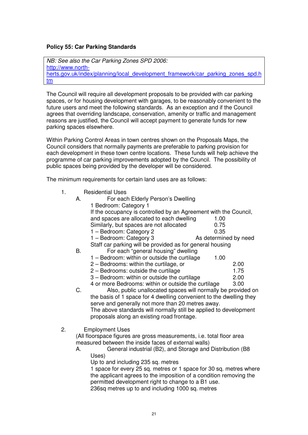#### **Policy 55: Car Parking Standards**

*NB: See also the Car Parking Zones SPD 2006:* http://www.northherts.gov.uk/index/planning/local\_development\_framework/car\_parking\_zones\_spd.h tm

The Council will require all development proposals to be provided with car parking spaces, or for housing development with garages, to be reasonably convenient to the future users and meet the following standards. As an exception and if the Council agrees that overriding landscape, conservation, amenity or traffic and management reasons are justified, the Council will accept payment to generate funds for new parking spaces elsewhere.

Within Parking Control Areas in town centres shown on the Proposals Maps, the Council considers that normally payments are preferable to parking provision for each development in these town centre locations. These funds will help achieve the programme of car parking improvements adopted by the Council. The possibility of public spaces being provided by the developer will be considered.

The minimum requirements for certain land uses are as follows:

1. Residential Uses

| А. | For each Elderly Person's Dwelling                               |                       |
|----|------------------------------------------------------------------|-----------------------|
|    | 1 Bedroom: Category 1                                            |                       |
|    | If the occupancy is controlled by an Agreement with the Council, |                       |
|    | and spaces are allocated to each dwelling                        | 1.00                  |
|    | Similarly, but spaces are not allocated                          | 0.75                  |
|    | 1 - Bedroom: Category 2                                          | 0.35                  |
|    | 1 - Bedroom: Category 3                                          | As determined by need |
|    | Staff car parking will be provided as for general housing        |                       |
| В. | For each "general housing" dwelling                              |                       |
|    | 1 - Bedroom: within or outside the curtilage                     | 1.00                  |
|    | 2 - Bedrooms: within the curtilage, or                           | 2.00                  |
|    | 2 - Bedrooms: outside the curtilage                              | 1.75                  |

- 3 Bedroom: within or outside the curtilage 2.00
- 4 or more Bedrooms: within or outside the curtilage 3.00
- C. Also, public unallocated spaces will normally be provided on the basis of 1 space for 4 dwelling convenient to the dwelling they serve and generally not more than 20 metres away. The above standards will normally still be applied to development proposals along an existing road frontage.
- 2. Employment Uses

(All floorspace figures are gross measurements, i.e. total floor area measured between the inside faces of external walls)

A. General industrial (B2), and Storage and Distribution (B8 Uses)

Up to and including 235 sq. metres

1 space for every 25 sq. metres or 1 space for 30 sq. metres where the applicant agrees to the imposition of a condition removing the permitted development right to change to a B1 use.

236sq metres up to and including 1000 sq. metres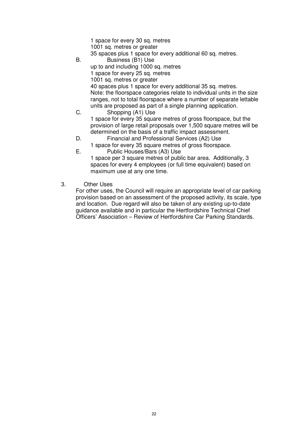1 space for every 30 sq. metres 1001 sq. metres or greater 35 spaces plus 1 space for every additional 60 sq. metres. B. Business (B1) Use up to and including 1000 sq. metres 1 space for every 25 sq. metres 1001 sq. metres or greater 40 spaces plus 1 space for every additional 35 sq. metres. Note: the floorspace categories relate to individual units in the size ranges, not to total floorspace where a number of separate lettable units are proposed as part of a single planning application. C. Shopping (A1) Use

1 space for every 35 square metres of gross floorspace, but the provision of large retail proposals over 1,500 square metres will be determined on the basis of a traffic impact assessment.

- D. Financial and Professional Services (A2) Use
- 1 space for every 35 square metres of gross floorspace. E. Public Houses/Bars (A3) Use

1 space per 3 square metres of public bar area. Additionally, 3 spaces for every 4 employees (or full time equivalent) based on maximum use at any one time.

3. Other Uses

For other uses, the Council will require an appropriate level of car parking provision based on an assessment of the proposed activity, its scale, type and location. Due regard will also be taken of any existing up-to-date guidance available and in particular the Hertfordshire Technical Chief Officers' Association – Review of Hertfordshire Car Parking Standards.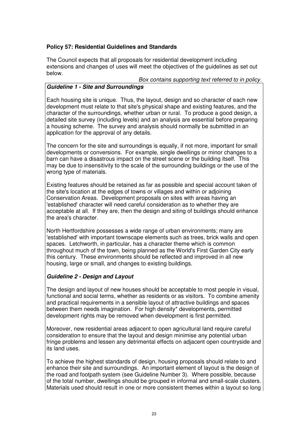# **Policy 57: Residential Guidelines and Standards**

The Council expects that all proposals for residential development including extensions and changes of uses will meet the objectives of the guidelines as set out below.

#### *Box contains supporting text referred to in policy.*

#### *Guideline 1 - Site and Surroundings*

Each housing site is unique. Thus, the layout, design and so character of each new development must relate to that site's physical shape and existing features, and the character of the surroundings, whether urban or rural. To produce a good design, a detailed site survey (including levels) and an analysis are essential before preparing a housing scheme. The survey and analysis should normally be submitted in an application for the approval of any details.

The concern for the site and surroundings is equally, if not more, important for small developments or conversions. For example, single dwellings or minor changes to a barn can have a disastrous impact on the street scene or the building itself. This may be due to insensitivity to the scale of the surrounding buildings or the use of the wrong type of materials.

Existing features should be retained as far as possible and special account taken of the site's location at the edges of towns or villages and within or adjoining Conservation Areas. Development proposals on sites with areas having an 'established'character will need careful consideration as to whether they are acceptable at all. If they are, then the design and siting of buildings should enhance the area's character.

North Hertfordshire possesses a wide range of urban environments; many are 'established'with important townscape elements such as trees, brick walls and open spaces. Letchworth, in particular, has a character theme which is common throughout much of the town, being planned as the World's First Garden City early this century. These environments should be reflected and improved in all new housing, large or small, and changes to existing buildings.

# *Guideline 2 - Design and Layout*

The design and layout of new houses should be acceptable to most people in visual, functional and social terms, whether as residents or as visitors. To combine amenity and practical requirements in a sensible layout of attractive buildings and spaces between them needs imagination. For high density\* developments, permitted development rights may be removed when development is first permitted.

Moreover, new residential areas adjacent to open agricultural land require careful consideration to ensure that the layout and design minimise any potential urban fringe problems and lessen any detrimental effects on adjacent open countryside and its land uses.

To achieve the highest standards of design, housing proposals should relate to and enhance their site and surroundings. An important element of layout is the design of the road and footpath system (see Guideline Number 3). Where possible, because of the total number, dwellings should be grouped in informal and small-scale clusters. Materials used should result in one or more consistent themes within a layout so long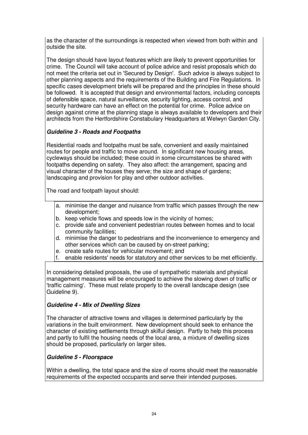as the character of the surroundings is respected when viewed from both within and outside the site.

The design should have layout features which are likely to prevent opportunities for crime. The Council will take account of police advice and resist proposals which do not meet the criteria set out in 'Secured by Design'. Such advice is always subject to other planning aspects and the requirements of the Building and Fire Regulations. In specific cases development briefs will be prepared and the principles in these should be followed. It is accepted that design and environmental factors, including concepts of defensible space, natural surveillance, security lighting, access control, and security hardware can have an effect on the potential for crime. Police advice on design against crime at the planning stage is always available to developers and their architects from the Hertfordshire Constabulary Headquarters at Welwyn Garden City.

# *Guideline 3 - Roads and Footpaths*

Residential roads and footpaths must be safe, convenient and easily maintained routes for people and traffic to move around. In significant new housing areas, cycleways should be included; these could in some circumstances be shared with footpaths depending on safety. They also affect: the arrangement, spacing and visual character of the houses they serve; the size and shape of gardens; landscaping and provision for play and other outdoor activities.

The road and footpath layout should:

- a. minimise the danger and nuisance from traffic which passes through the new development;
- b. keep vehicle flows and speeds low in the vicinity of homes;
- c. provide safe and convenient pedestrian routes between homes and to local community facilities;
- d. minimise the danger to pedestrians and the inconvenience to emergency and other services which can be caused by on-street parking;
- e. create safe routes for vehicular movement; and
- f. enable residents'needs for statutory and other services to be met efficiently.

In considering detailed proposals, the use of sympathetic materials and physical management measures will be encouraged to achieve the slowing down of traffic or 'traffic calming'. These must relate properly to the overall landscape design (see Guideline 9).

# *Guideline 4 - Mix of Dwelling Sizes*

The character of attractive towns and villages is determined particularly by the variations in the built environment. New development should seek to enhance the character of existing settlements through skilful design. Partly to help this process and partly to fulfil the housing needs of the local area, a mixture of dwelling sizes should be proposed, particularly on larger sites.

# *Guideline 5 - Floorspace*

Within a dwelling, the total space and the size of rooms should meet the reasonable requirements of the expected occupants and serve their intended purposes.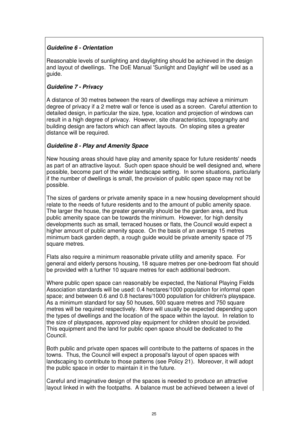# *Guideline 6 - Orientation*

Reasonable levels of sunlighting and daylighting should be achieved in the design and layout of dwellings. The DoE Manual 'Sunlight and Daylight'will be used as a guide.

# *Guideline 7 - Privacy*

A distance of 30 metres between the rears of dwellings may achieve a minimum degree of privacy if a 2 metre wall or fence is used as a screen. Careful attention to detailed design, in particular the size, type, location and projection of windows can result in a high degree of privacy. However, site characteristics, topography and building design are factors which can affect layouts. On sloping sites a greater distance will be required.

#### *Guideline 8 - Play and Amenity Space*

New housing areas should have play and amenity space for future residents'needs as part of an attractive layout. Such open space should be well designed and, where possible, become part of the wider landscape setting. In some situations, particularly if the number of dwellings is small, the provision of public open space may not be possible.

The sizes of gardens or private amenity space in a new housing development should relate to the needs of future residents and to the amount of public amenity space. The larger the house, the greater generally should be the garden area, and thus public amenity space can be towards the minimum. However, for high density developments such as small, terraced houses or flats, the Council would expect a higher amount of public amenity space. On the basis of an average 15 metres minimum back garden depth, a rough guide would be private amenity space of 75 square metres.

Flats also require a minimum reasonable private utility and amenity space. For general and elderly persons housing, 18 square metres per one-bedroom flat should be provided with a further 10 square metres for each additional bedroom.

Where public open space can reasonably be expected, the National Playing Fields Association standards will be used: 0.4 hectares/1000 population for informal open space; and between 0.6 and 0.8 hectares/1000 population for children's playspace. As a minimum standard for say 50 houses, 500 square metres and 750 square metres will be required respectively. More will usually be expected depending upon the types of dwellings and the location of the space within the layout. In relation to the size of playspaces, approved play equipment for children should be provided. This equipment and the land for public open space should be dedicated to the Council.

Both public and private open spaces will contribute to the patterns of spaces in the towns. Thus, the Council will expect a proposal's layout of open spaces with landscaping to contribute to those patterns (see Policy 21). Moreover, it will adopt the public space in order to maintain it in the future.

Careful and imaginative design of the spaces is needed to produce an attractive layout linked in with the footpaths. A balance must be achieved between a level of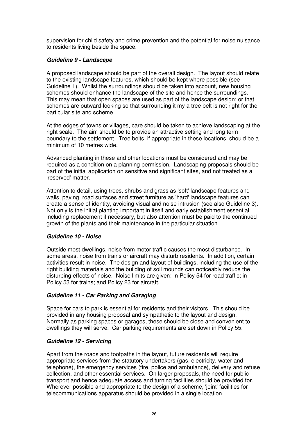supervision for child safety and crime prevention and the potential for noise nuisance to residents living beside the space.

# *Guideline 9 - Landscape*

A proposed landscape should be part of the overall design. The layout should relate to the existing landscape features, which should be kept where possible (see Guideline 1). Whilst the surroundings should be taken into account, new housing schemes should enhance the landscape of the site and hence the surroundings. This may mean that open spaces are used as part of the landscape design; or that schemes are outward-looking so that surrounding it my a tree belt is not right for the particular site and scheme.

At the edges of towns or villages, care should be taken to achieve landscaping at the right scale. The aim should be to provide an attractive setting and long term boundary to the settlement. Tree belts, if appropriate in these locations, should be a minimum of 10 metres wide.

Advanced planting in these and other locations must be considered and may be required as a condition on a planning permission. Landscaping proposals should be part of the initial application on sensitive and significant sites, and not treated as a 'reserved'matter.

Attention to detail, using trees, shrubs and grass as 'soft'landscape features and walls, paving, road surfaces and street furniture as 'hard'landscape features can create a sense of identity, avoiding visual and noise intrusion (see also Guideline 3). Not only is the initial planting important in itself and early establishment essential, including replacement if necessary, but also attention must be paid to the continued growth of the plants and their maintenance in the particular situation.

# *Guideline 10 - Noise*

Outside most dwellings, noise from motor traffic causes the most disturbance. In some areas, noise from trains or aircraft may disturb residents. In addition, certain activities result in noise. The design and layout of buildings, including the use of the right building materials and the building of soil mounds can noticeably reduce the disturbing effects of noise. Noise limits are given: In Policy 54 for road traffic; in Policy 53 for trains; and Policy 23 for aircraft.

# *Guideline 11 - Car Parking and Garaging*

Space for cars to park is essential for residents and their visitors. This should be provided in any housing proposal and sympathetic to the layout and design. Normally as parking spaces or garages, these should be close and convenient to dwellings they will serve. Car parking requirements are set down in Policy 55.

# *Guideline 12 - Servicing*

Apart from the roads and footpaths in the layout, future residents will require appropriate services from the statutory undertakers (gas, electricity, water and telephone), the emergency services (fire, police and ambulance), delivery and refuse collection, and other essential services. On larger proposals, the need for public transport and hence adequate access and turning facilities should be provided for. Wherever possible and appropriate to the design of a scheme, 'joint' facilities for telecommunications apparatus should be provided in a single location.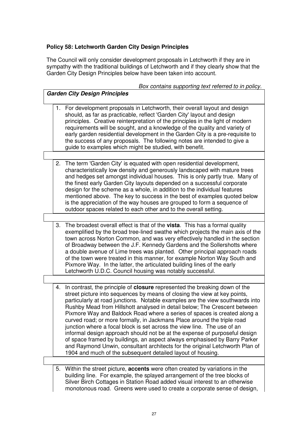# **Policy 58: Letchworth Garden City Design Principles**

The Council will only consider development proposals in Letchworth if they are in sympathy with the traditional buildings of Letchworth and if they clearly show that the Garden City Design Principles below have been taken into account.

| Box contains supporting text referred to in policy.                                                                                                                                                                                                                                                                                                                                                                                                                                                                                                                                                                                                                                                                                                                                                                                                                         |
|-----------------------------------------------------------------------------------------------------------------------------------------------------------------------------------------------------------------------------------------------------------------------------------------------------------------------------------------------------------------------------------------------------------------------------------------------------------------------------------------------------------------------------------------------------------------------------------------------------------------------------------------------------------------------------------------------------------------------------------------------------------------------------------------------------------------------------------------------------------------------------|
| <b>Garden City Design Principles</b>                                                                                                                                                                                                                                                                                                                                                                                                                                                                                                                                                                                                                                                                                                                                                                                                                                        |
|                                                                                                                                                                                                                                                                                                                                                                                                                                                                                                                                                                                                                                                                                                                                                                                                                                                                             |
| 1. For development proposals in Letchworth, their overall layout and design<br>should, as far as practicable, reflect 'Garden City' layout and design<br>principles. Creative reinterpretation of the principles in the light of modern<br>requirements will be sought, and a knowledge of the quality and variety of<br>early garden residential development in the Garden City is a pre-requisite to<br>the success of any proposals. The following notes are intended to give a<br>guide to examples which might be studied, with benefit.                                                                                                                                                                                                                                                                                                                               |
|                                                                                                                                                                                                                                                                                                                                                                                                                                                                                                                                                                                                                                                                                                                                                                                                                                                                             |
| 2. The term 'Garden City' is equated with open residential development,<br>characteristically low density and generously landscaped with mature trees<br>and hedges set amongst individual houses. This is only partly true. Many of<br>the finest early Garden City layouts depended on a successful corporate<br>design for the scheme as a whole, in addition to the individual features<br>mentioned above. The key to success in the best of examples quoted below<br>is the appreciation of the way houses are grouped to form a sequence of<br>outdoor spaces related to each other and to the overall setting.                                                                                                                                                                                                                                                      |
|                                                                                                                                                                                                                                                                                                                                                                                                                                                                                                                                                                                                                                                                                                                                                                                                                                                                             |
| 3. The broadest overall effect is that of the vista. This has a formal quality<br>exemplified by the broad tree-lined swathe which projects the main axis of the<br>town across Norton Common, and was very effectively handled in the section<br>of Broadway between the J.F. Kennedy Gardens and the Sollershotts where<br>a double avenue of Lime trees was planted. Other principal approach roads<br>of the town were treated in this manner, for example Norton Way South and<br>Pixmore Way. In the latter, the articulated building lines of the early<br>Letchworth U.D.C. Council housing was notably successful.                                                                                                                                                                                                                                                 |
|                                                                                                                                                                                                                                                                                                                                                                                                                                                                                                                                                                                                                                                                                                                                                                                                                                                                             |
| 4. In contrast, the principle of <b>closure</b> represented the breaking down of the<br>street picture into sequences by means of closing the view at key points,<br>particularly at road junctions. Notable examples are the view southwards into<br>Rushby Mead from Hillshott analysed in detail below; The Crescent between<br>Pixmore Way and Baldock Road where a series of spaces is created along a<br>curved road; or more formally, in Jackmans Place around the triple road<br>junction where a focal block is set across the view line. The use of an<br>informal design approach should not be at the expense of purposeful design<br>of space framed by buildings, an aspect always emphasised by Barry Parker<br>and Raymond Unwin, consultant architects for the original Letchworth Plan of<br>1904 and much of the subsequent detailed layout of housing. |
|                                                                                                                                                                                                                                                                                                                                                                                                                                                                                                                                                                                                                                                                                                                                                                                                                                                                             |
| Within the street picture, accents were often created by variations in the<br>5.<br>building line. For example, the splayed arrangement of the tree blocks of                                                                                                                                                                                                                                                                                                                                                                                                                                                                                                                                                                                                                                                                                                               |

building line. For example, the splayed arrangement of the tree blocks of Silver Birch Cottages in Station Road added visual interest to an otherwise monotonous road. Greens were used to create a corporate sense of design,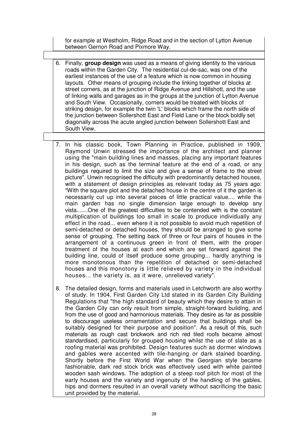for example at Westholm, Ridge Road and in the section of Lytton Avenue between Gernon Road and Pixmore Way.

- 6. Finally, **group design** was used as a means of giving identity to the various roads within the Garden City. The residential cul-de-sac, was one of the earliest instances of the use of a feature which is now common in housing layouts. Other means of grouping include the linking together of blocks at street corners, as at the junction of Ridge Avenue and Hillshott, and the use of linking walls and garages as in the groups at the junction of Lytton Avenue and South View. Occasionally, corners would be treated with blocks of striking design, for example the twin 'L'blocks which frame the north side of the junction between Sollershott East and Field Lane or the block boldly set diagonally across the acute angled junction between Sollershott East and South View.
- 7. In his classic book, Town Planning in Practice, published in 1909, Raymond Unwin stressed the importance of the architect and planner using the "main building lines and masses, placing any important features in his design, such as the terminal feature at the end of a road, or any buildings required to limit the size and give a sense of frame to the street picture". Unwin recognised the difficulty with predominantly detached houses, with a statement of design principles as relevant today as 75 years ago: "With the square plot and the detached house in the centre of it the garden is necessarily cut up into several pieces of little practical value.... while the main garden has no single dimension large enough to develop any vista.......One of the greatest difficulties to be contended with is the constant multiplication of buildings too small in scale to produce individually any effect in the road... even where it is not possible to avoid much repetition of semi-detached or detached houses, they should be arranged to give some sense of grouping. The setting back of three or four pairs of houses in the arrangement of a continuous green in front of them, with the proper treatment of the houses at each end which are set forward against the building line, could of itself produce some grouping... hardly anything is more monotonous than the repetition of detached or semi-detached houses and this monotony is little relieved by variety in the individual houses... the variety is, as it were, unrelieved variety".
- 8. The detailed design, forms and materials used in Letchworth are also worthy of study. In 1904, First Garden City Ltd stated in its Garden City Building Regulations that "the high standard of beauty which they desire to attain in the Garden City can only result from simple, straight-forward building, and from the use of good and harmonious materials. They desire as far as possible to discourage useless ornamentation and secure that buildings shall be suitably designed for their purpose and position". As a result of this, such materials as rough cast brickwork and rich red tiled roofs became almost standardised, particularly for grouped housing whilst the use of slate as a roofing material was prohibited. Design features such as dormer windows and gables were accented with tile-hanging or dark stained boarding. Shortly before the First World War when the Georgian style became fashionable, dark red stock brick was effectively used with white painted wooden sash windows. The adoption of a steep roof pitch for most of the early houses and the variety and ingenuity of the handling of the gables, hips and dormers resulted in an overall variety without sacrificing the basic unit provided by the material.